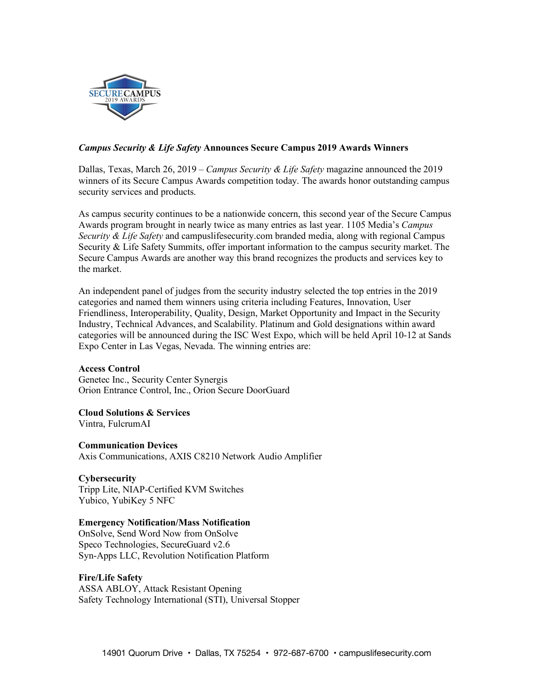

# *Campus Security & Life Safety* **Announces Secure Campus 2019 Awards Winners**

Dallas, Texas, March 26, 2019 – *Campus Security & Life Safety* magazine announced the 2019 winners of its Secure Campus Awards competition today. The awards honor outstanding campus security services and products.

As campus security continues to be a nationwide concern, this second year of the Secure Campus Awards program brought in nearly twice as many entries as last year. 1105 Media's *Campus Security & Life Safety* and campuslifesecurity.com branded media, along with regional Campus Security & Life Safety Summits, offer important information to the campus security market. The Secure Campus Awards are another way this brand recognizes the products and services key to the market.

An independent panel of judges from the security industry selected the top entries in the 2019 categories and named them winners using criteria including Features, Innovation, User Friendliness, Interoperability, Quality, Design, Market Opportunity and Impact in the Security Industry, Technical Advances, and Scalability. Platinum and Gold designations within award categories will be announced during the ISC West Expo, which will be held April 10-12 at Sands Expo Center in Las Vegas, Nevada. The winning entries are:

# **Access Control**

Genetec Inc., Security Center Synergis Orion Entrance Control, Inc., Orion Secure DoorGuard

**Cloud Solutions & Services**

Vintra, FulcrumAI

**Communication Devices** Axis Communications, AXIS C8210 Network Audio Amplifier

# **Cybersecurity**

Tripp Lite, NIAP-Certified KVM Switches Yubico, YubiKey 5 NFC

# **Emergency Notification/Mass Notification**

OnSolve, Send Word Now from OnSolve Speco Technologies, SecureGuard v2.6 Syn-Apps LLC, Revolution Notification Platform

# **Fire/Life Safety**

ASSA ABLOY, Attack Resistant Opening Safety Technology International (STI), Universal Stopper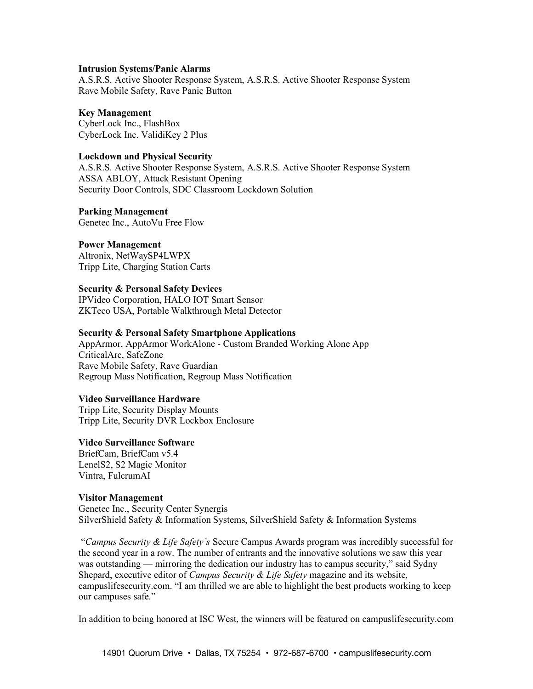#### **Intrusion Systems/Panic Alarms**

A.S.R.S. Active Shooter Response System, A.S.R.S. Active Shooter Response System Rave Mobile Safety, Rave Panic Button

#### **Key Management**

CyberLock Inc., FlashBox CyberLock Inc. ValidiKey 2 Plus

### **Lockdown and Physical Security**

A.S.R.S. Active Shooter Response System, A.S.R.S. Active Shooter Response System ASSA ABLOY, Attack Resistant Opening Security Door Controls, SDC Classroom Lockdown Solution

### **Parking Management**

Genetec Inc., AutoVu Free Flow

### **Power Management**

Altronix, NetWaySP4LWPX Tripp Lite, Charging Station Carts

# **Security & Personal Safety Devices**

IPVideo Corporation, HALO IOT Smart Sensor ZKTeco USA, Portable Walkthrough Metal Detector

### **Security & Personal Safety Smartphone Applications**

AppArmor, AppArmor WorkAlone - Custom Branded Working Alone App CriticalArc, SafeZone Rave Mobile Safety, Rave Guardian Regroup Mass Notification, Regroup Mass Notification

# **Video Surveillance Hardware**

Tripp Lite, Security Display Mounts Tripp Lite, Security DVR Lockbox Enclosure

#### **Video Surveillance Software**

BriefCam, BriefCam v5.4 LenelS2, S2 Magic Monitor Vintra, FulcrumAI

#### **Visitor Management**

Genetec Inc., Security Center Synergis SilverShield Safety & Information Systems, SilverShield Safety & Information Systems

"*Campus Security & Life Safety's* Secure Campus Awards program was incredibly successful for the second year in a row. The number of entrants and the innovative solutions we saw this year was outstanding — mirroring the dedication our industry has to campus security," said Sydny Shepard, executive editor of *Campus Security & Life Safety* magazine and its website, campuslifesecurity.com. "I am thrilled we are able to highlight the best products working to keep our campuses safe."

In addition to being honored at ISC West, the winners will be featured on campuslifesecurity.com